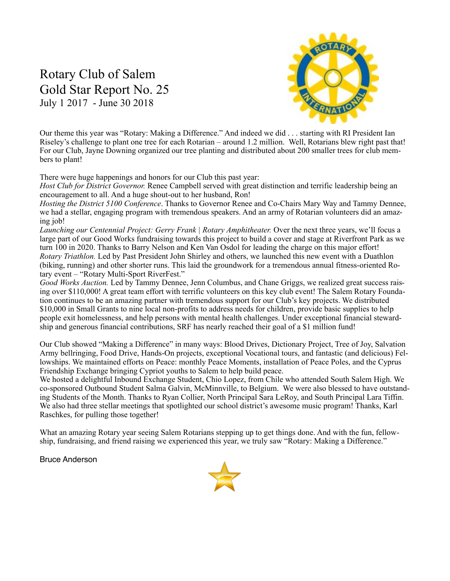# Rotary Club of Salem Gold Star Report No. 25 July 1 2017 - June 30 2018



Our theme this year was "Rotary: Making a Difference." And indeed we did . . . starting with RI President Ian Riseley's challenge to plant one tree for each Rotarian – around 1.2 million. Well, Rotarians blew right past that! For our Club, Jayne Downing organized our tree planting and distributed about 200 smaller trees for club members to plant!

There were huge happenings and honors for our Club this past year:

*Host Club for District Governor.* Renee Campbell served with great distinction and terrific leadership being an encouragement to all. And a huge shout-out to her husband, Ron!

*Hosting the District 5100 Conference*. Thanks to Governor Renee and Co-Chairs Mary Way and Tammy Dennee, we had a stellar, engaging program with tremendous speakers. And an army of Rotarian volunteers did an amazing job!

*Launching our Centennial Project: Gerry Frank | Rotary Amphitheater.* Over the next three years, we'll focus a large part of our Good Works fundraising towards this project to build a cover and stage at Riverfront Park as we turn 100 in 2020. Thanks to Barry Nelson and Ken Van Osdol for leading the charge on this major effort! *Rotary Triathlon.* Led by Past President John Shirley and others, we launched this new event with a Duathlon (biking, running) and other shorter runs. This laid the groundwork for a tremendous annual fitness-oriented Rotary event – "Rotary Multi-Sport RiverFest."

*Good Works Auction.* Led by Tammy Dennee, Jenn Columbus, and Chane Griggs, we realized great success raising over \$110,000! A great team effort with terrific volunteers on this key club event! The Salem Rotary Foundation continues to be an amazing partner with tremendous support for our Club's key projects. We distributed \$10,000 in Small Grants to nine local non-profits to address needs for children, provide basic supplies to help people exit homelessness, and help persons with mental health challenges. Under exceptional financial stewardship and generous financial contributions, SRF has nearly reached their goal of a \$1 million fund!

Our Club showed "Making a Difference" in many ways: Blood Drives, Dictionary Project, Tree of Joy, Salvation Army bellringing, Food Drive, Hands-On projects, exceptional Vocational tours, and fantastic (and delicious) Fellowships. We maintained efforts on Peace: monthly Peace Moments, installation of Peace Poles, and the Cyprus Friendship Exchange bringing Cypriot youths to Salem to help build peace.

We hosted a delightful Inbound Exchange Student, Chio Lopez, from Chile who attended South Salem High. We co-sponsored Outbound Student Salma Galvin, McMinnville, to Belgium. We were also blessed to have outstanding Students of the Month. Thanks to Ryan Collier, North Principal Sara LeRoy, and South Principal Lara Tiffin. We also had three stellar meetings that spotlighted our school district's awesome music program! Thanks, Karl Raschkes, for pulling those together!

What an amazing Rotary year seeing Salem Rotarians stepping up to get things done. And with the fun, fellowship, fundraising, and friend raising we experienced this year, we truly saw "Rotary: Making a Difference."

Bruce Anderson

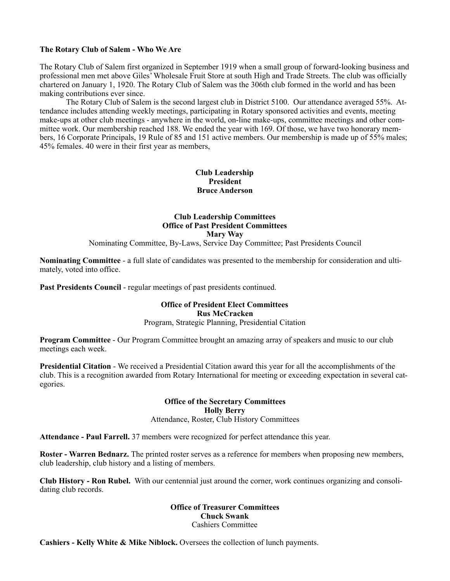### **The Rotary Club of Salem - Who We Are**

The Rotary Club of Salem first organized in September 1919 when a small group of forward-looking business and professional men met above Giles' Wholesale Fruit Store at south High and Trade Streets. The club was officially chartered on January 1, 1920. The Rotary Club of Salem was the 306th club formed in the world and has been making contributions ever since.

 The Rotary Club of Salem is the second largest club in District 5100. Our attendance averaged 55%. Attendance includes attending weekly meetings, participating in Rotary sponsored activities and events, meeting make-ups at other club meetings - anywhere in the world, on-line make-ups, committee meetings and other committee work. Our membership reached 188. We ended the year with 169. Of those, we have two honorary members, 16 Corporate Principals, 19 Rule of 85 and 151 active members. Our membership is made up of 55% males; 45% females. 40 were in their first year as members,

### **Club Leadership President Bruce Anderson**

# **Club Leadership Committees Office of Past President Committees Mary Way**

Nominating Committee, By-Laws, Service Day Committee; Past Presidents Council

**Nominating Committee** - a full slate of candidates was presented to the membership for consideration and ultimately, voted into office.

Past Presidents Council - regular meetings of past presidents continued.

# **Office of President Elect Committees Rus McCracken**

Program, Strategic Planning, Presidential Citation

**Program Committee** - Our Program Committee brought an amazing array of speakers and music to our club meetings each week.

**Presidential Citation** - We received a Presidential Citation award this year for all the accomplishments of the club. This is a recognition awarded from Rotary International for meeting or exceeding expectation in several categories.

#### **Office of the Secretary Committees Holly Berry**  Attendance, Roster, Club History Committees

**Attendance - Paul Farrell.** 37 members were recognized for perfect attendance this year.

**Roster - Warren Bednarz.** The printed roster serves as a reference for members when proposing new members, club leadership, club history and a listing of members.

**Club History - Ron Rubel.** With our centennial just around the corner, work continues organizing and consolidating club records.

### **Office of Treasurer Committees Chuck Swank**  Cashiers Committee

**Cashiers - Kelly White & Mike Niblock.** Oversees the collection of lunch payments.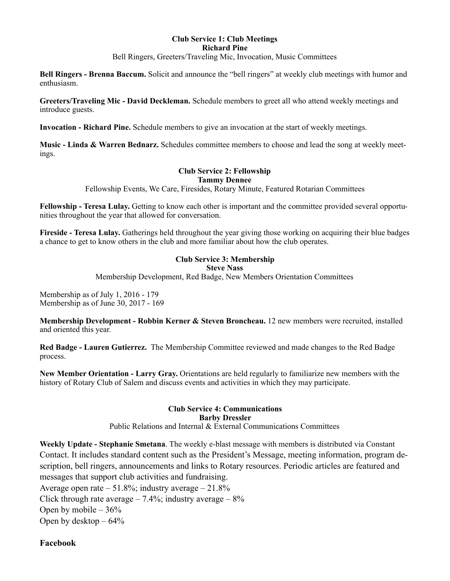### **Club Service 1: Club Meetings Richard Pine**

Bell Ringers, Greeters/Traveling Mic, Invocation, Music Committees

**Bell Ringers - Brenna Baccum.** Solicit and announce the "bell ringers" at weekly club meetings with humor and enthusiasm.

**Greeters/Traveling Mic - David Deckleman.** Schedule members to greet all who attend weekly meetings and introduce guests.

**Invocation - Richard Pine.** Schedule members to give an invocation at the start of weekly meetings.

**Music - Linda & Warren Bednarz.** Schedules committee members to choose and lead the song at weekly meetings.

#### **Club Service 2: Fellowship Tammy Dennee**

Fellowship Events, We Care, Firesides, Rotary Minute, Featured Rotarian Committees

**Fellowship - Teresa Lulay.** Getting to know each other is important and the committee provided several opportunities throughout the year that allowed for conversation.

**Fireside - Teresa Lulay.** Gatherings held throughout the year giving those working on acquiring their blue badges a chance to get to know others in the club and more familiar about how the club operates.

# **Club Service 3: Membership**

```
Steve Nass
```
Membership Development, Red Badge, New Members Orientation Committees

Membership as of July 1, 2016 - 179 Membership as of June 30, 2017 - 169

**Membership Development - Robbin Kerner & Steven Broncheau.** 12 new members were recruited, installed and oriented this year.

**Red Badge - Lauren Gutierrez.** The Membership Committee reviewed and made changes to the Red Badge process.

**New Member Orientation - Larry Gray.** Orientations are held regularly to familiarize new members with the history of Rotary Club of Salem and discuss events and activities in which they may participate.

#### **Club Service 4: Communications Barby Dressler**  Public Relations and Internal & External Communications Committees

**Weekly Update - Stephanie Smetana**. The weekly e-blast message with members is distributed via Constant Contact. It includes standard content such as the President's Message, meeting information, program description, bell ringers, announcements and links to Rotary resources. Periodic articles are featured and messages that support club activities and fundraising.

Average open rate  $-51.8\%$ ; industry average  $-21.8\%$ 

Click through rate average  $-7.4\%$ ; industry average  $-8\%$ 

Open by mobile  $-36%$ 

Open by desktop  $-64\%$ 

# **Facebook**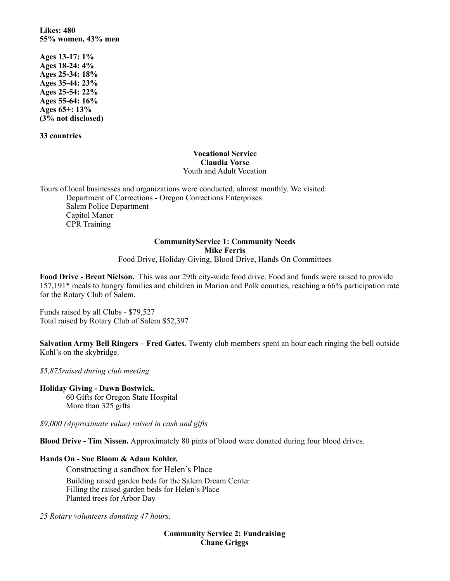**Likes: 480 55% women, 43% men** 

**Ages 13-17: 1% Ages 18-24: 4% Ages 25-34: 18% Ages 35-44: 23% Ages 25-54: 22% Ages 55-64: 16% Ages 65+: 13% (3% not disclosed)** 

**33 countries**

### **Vocational Service Claudia Vorse**  Youth and Adult Vocation

Tours of local businesses and organizations were conducted, almost monthly. We visited: Department of Corrections - Oregon Corrections Enterprises Salem Police Department Capitol Manor CPR Training

# **CommunityService 1: Community Needs Mike Ferris**

Food Drive, Holiday Giving, Blood Drive, Hands On Committees

**Food Drive - Brent Nielson.** This was our 29th city-wide food drive. Food and funds were raised to provide 157,191\* meals to hungry families and children in Marion and Polk counties, reaching a 66% participation rate for the Rotary Club of Salem.

Funds raised by all Clubs - \$79,527 Total raised by Rotary Club of Salem \$52,397

**Salvation Army Bell Ringers – Fred Gates.** Twenty club members spent an hour each ringing the bell outside Kohl's on the skybridge.

*\$5,875raised during club meeting* 

**Holiday Giving - Dawn Bostwick.** 

60 Gifts for Oregon State Hospital More than 325 gifts

*\$9,000 (Approximate value) raised in cash and gifts*

**Blood Drive - Tim Nissen.** Approximately 80 pints of blood were donated during four blood drives.

### **Hands On - Sue Bloom & Adam Kohler.**

Constructing a sandbox for Helen's Place Building raised garden beds for the Salem Dream Center Filling the raised garden beds for Helen's Place Planted trees for Arbor Day

*25 Rotary volunteers donating 47 hours.* 

**Community Service 2: Fundraising Chane Griggs**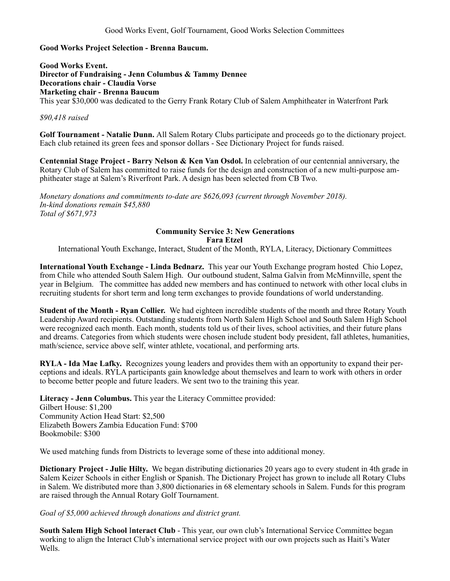# **Good Works Project Selection - Brenna Baucum.**

**Good Works Event. Director of Fundraising - Jenn Columbus & Tammy Dennee Decorations chair - Claudia Vorse Marketing chair - Brenna Baucum**  This year \$30,000 was dedicated to the Gerry Frank Rotary Club of Salem Amphitheater in Waterfront Park

### *\$90,418 raised*

**Golf Tournament - Natalie Dunn.** All Salem Rotary Clubs participate and proceeds go to the dictionary project. Each club retained its green fees and sponsor dollars - See Dictionary Project for funds raised.

**Centennial Stage Project - Barry Nelson & Ken Van Osdol.** In celebration of our centennial anniversary, the Rotary Club of Salem has committed to raise funds for the design and construction of a new multi-purpose amphitheater stage at Salem's Riverfront Park. A design has been selected from CB Two.

*Monetary donations and commitments to-date are \$626,093 (current through November 2018). In-kind donations remain \$45,880 Total of \$671,973*

#### **Community Service 3: New Generations Fara Etzel**

International Youth Exchange, Interact, Student of the Month, RYLA, Literacy, Dictionary Committees

**International Youth Exchange - Linda Bednarz.** This year our Youth Exchange program hosted Chio Lopez, from Chile who attended South Salem High. Our outbound student, Salma Galvin from McMinnville, spent the year in Belgium. The committee has added new members and has continued to network with other local clubs in recruiting students for short term and long term exchanges to provide foundations of world understanding.

**Student of the Month - Ryan Collier.** We had eighteen incredible students of the month and three Rotary Youth Leadership Award recipients. Outstanding students from North Salem High School and South Salem High School were recognized each month. Each month, students told us of their lives, school activities, and their future plans and dreams. Categories from which students were chosen include student body president, fall athletes, humanities, math/science, service above self, winter athlete, vocational, and performing arts.

**RYLA - Ida Mae Lafky.** Recognizes young leaders and provides them with an opportunity to expand their perceptions and ideals. RYLA participants gain knowledge about themselves and learn to work with others in order to become better people and future leaders. We sent two to the training this year.

**Literacy - Jenn Columbus.** This year the Literacy Committee provided: Gilbert House: \$1,200 Community Action Head Start: \$2,500 Elizabeth Bowers Zambia Education Fund: \$700 Bookmobile: \$300

We used matching funds from Districts to leverage some of these into additional money.

**Dictionary Project - Julie Hilty.** We began distributing dictionaries 20 years ago to every student in 4th grade in Salem Keizer Schools in either English or Spanish. The Dictionary Project has grown to include all Rotary Clubs in Salem. We distributed more than 3,800 dictionaries in 68 elementary schools in Salem. Funds for this program are raised through the Annual Rotary Golf Tournament.

### *Goal of \$5,000 achieved through donations and district grant.*

**South Salem High School** I**nteract Club** - This year, our own club's International Service Committee began working to align the Interact Club's international service project with our own projects such as Haiti's Water Wells.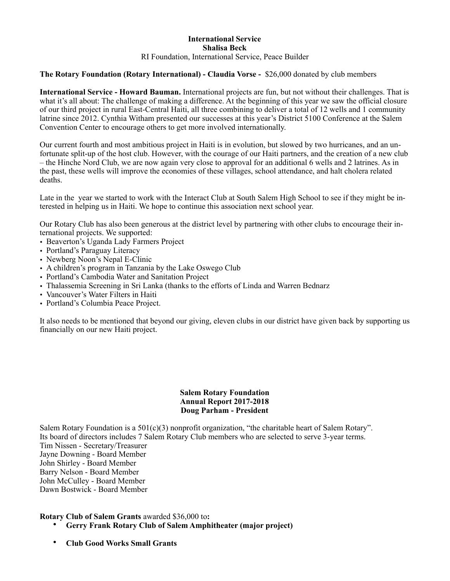#### **International Service Shalisa Beck**  RI Foundation, International Service, Peace Builder

### **The Rotary Foundation (Rotary International) - Claudia Vorse -** \$26,000 donated by club members

**International Service - Howard Bauman.** International projects are fun, but not without their challenges. That is what it's all about: The challenge of making a difference. At the beginning of this year we saw the official closure of our third project in rural East-Central Haiti, all three combining to deliver a total of 12 wells and 1 community latrine since 2012. Cynthia Witham presented our successes at this year's District 5100 Conference at the Salem Convention Center to encourage others to get more involved internationally.

Our current fourth and most ambitious project in Haiti is in evolution, but slowed by two hurricanes, and an unfortunate split-up of the host club. However, with the courage of our Haiti partners, and the creation of a new club – the Hinche Nord Club, we are now again very close to approval for an additional 6 wells and 2 latrines. As in the past, these wells will improve the economies of these villages, school attendance, and halt cholera related deaths.

Late in the year we started to work with the Interact Club at South Salem High School to see if they might be interested in helping us in Haiti. We hope to continue this association next school year.

Our Rotary Club has also been generous at the district level by partnering with other clubs to encourage their international projects. We supported:

- Beaverton's Uganda Lady Farmers Project
- Portland's Paraguay Literacy
- Newberg Noon's Nepal E-Clinic
- A children's program in Tanzania by the Lake Oswego Club
- Portland's Cambodia Water and Sanitation Project
- Thalassemia Screening in Sri Lanka (thanks to the efforts of Linda and Warren Bednarz
- Vancouver's Water Filters in Haiti
- Portland's Columbia Peace Project.

It also needs to be mentioned that beyond our giving, eleven clubs in our district have given back by supporting us financially on our new Haiti project.

### **Salem Rotary Foundation Annual Report 2017-2018 Doug Parham - President**

Salem Rotary Foundation is a 501(c)(3) nonprofit organization, "the charitable heart of Salem Rotary". Its board of directors includes 7 Salem Rotary Club members who are selected to serve 3-year terms. Tim Nissen - Secretary/Treasurer Jayne Downing - Board Member John Shirley - Board Member Barry Nelson - Board Member John McCulley - Board Member Dawn Bostwick - Board Member

#### **Rotary Club of Salem Grants** awarded \$36,000 to**:**

- **Gerry Frank Rotary Club of Salem Amphitheater (major project)**
- **Club Good Works Small Grants**